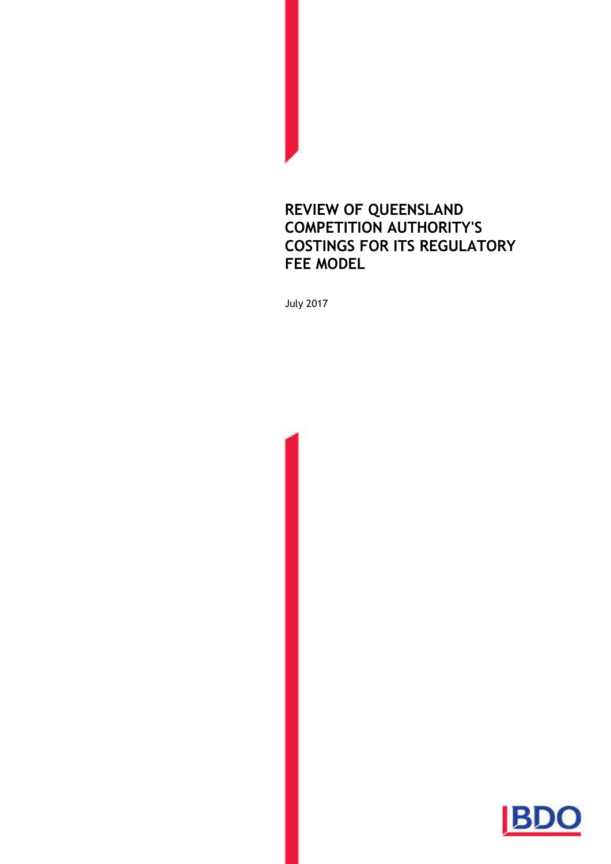### **REVIEW OF QUEENSLAND COMPETITION AUTHORITY'S COSTINGS FOR ITS REGULATORY FEE MODEL**

July 2017

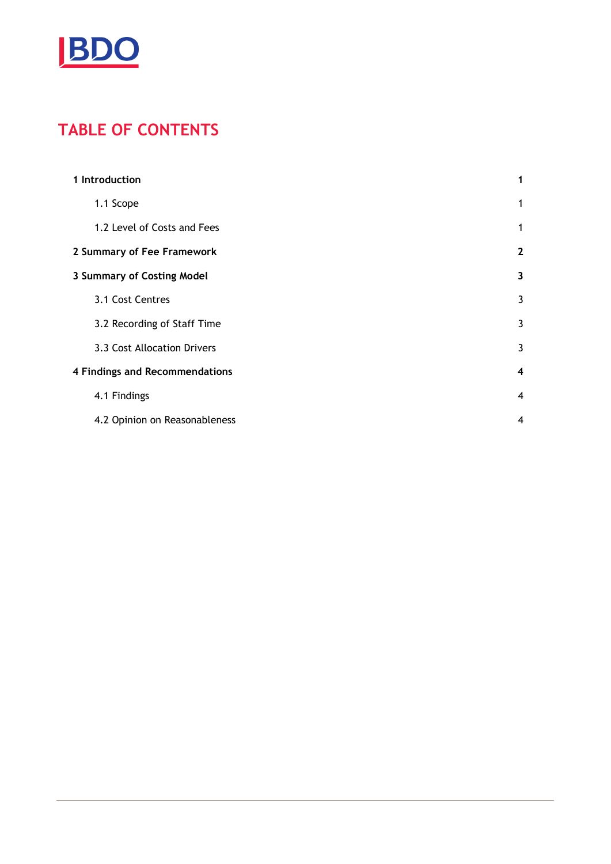

# **TABLE OF CONTENTS**

| 1 Introduction                        |                               | 1                       |
|---------------------------------------|-------------------------------|-------------------------|
|                                       | 1.1 Scope                     | 1                       |
|                                       | 1.2 Level of Costs and Fees   | 1                       |
|                                       | 2 Summary of Fee Framework    |                         |
| 3 Summary of Costing Model            |                               | 3                       |
|                                       | 3.1 Cost Centres              | 3                       |
|                                       | 3.2 Recording of Staff Time   | 3                       |
|                                       | 3.3 Cost Allocation Drivers   | 3                       |
| <b>4 Findings and Recommendations</b> |                               | $\overline{\mathbf{4}}$ |
|                                       | 4.1 Findings                  | 4                       |
|                                       | 4.2 Opinion on Reasonableness | $\overline{4}$          |
|                                       |                               |                         |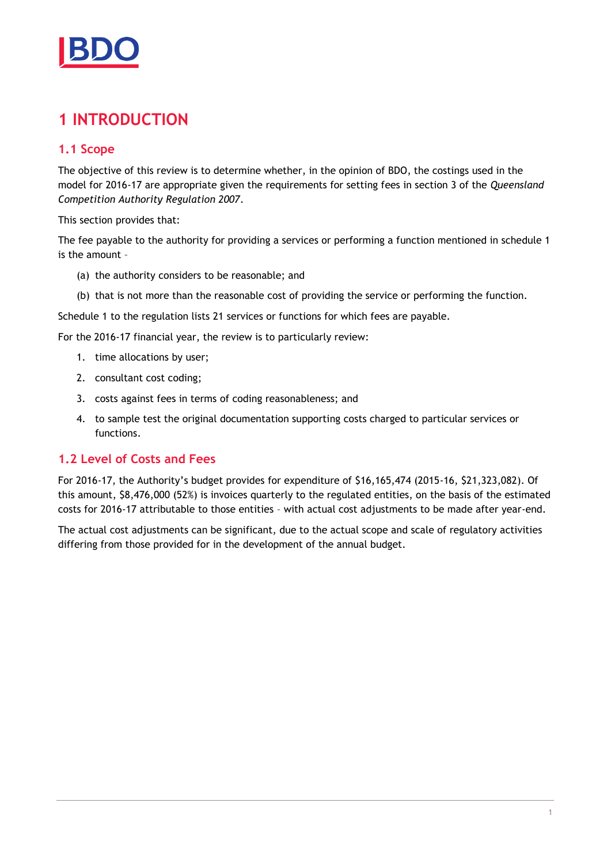

### <span id="page-2-0"></span>**1 INTRODUCTION**

#### <span id="page-2-1"></span>**1.1 Scope**

The objective of this review is to determine whether, in the opinion of BDO, the costings used in the model for 2016-17 are appropriate given the requirements for setting fees in section 3 of the *Queensland Competition Authority Regulation 2007*.

This section provides that:

The fee payable to the authority for providing a services or performing a function mentioned in schedule 1 is the amount –

- (a) the authority considers to be reasonable; and
- (b) that is not more than the reasonable cost of providing the service or performing the function.

Schedule 1 to the regulation lists 21 services or functions for which fees are payable.

For the 2016-17 financial year, the review is to particularly review:

- 1. time allocations by user;
- 2. consultant cost coding;
- 3. costs against fees in terms of coding reasonableness; and
- 4. to sample test the original documentation supporting costs charged to particular services or functions.

#### <span id="page-2-2"></span>**1.2 Level of Costs and Fees**

For 2016-17, the Authority's budget provides for expenditure of \$16,165,474 (2015-16, \$21,323,082). Of this amount, \$8,476,000 (52%) is invoices quarterly to the regulated entities, on the basis of the estimated costs for 2016-17 attributable to those entities – with actual cost adjustments to be made after year-end.

The actual cost adjustments can be significant, due to the actual scope and scale of regulatory activities differing from those provided for in the development of the annual budget.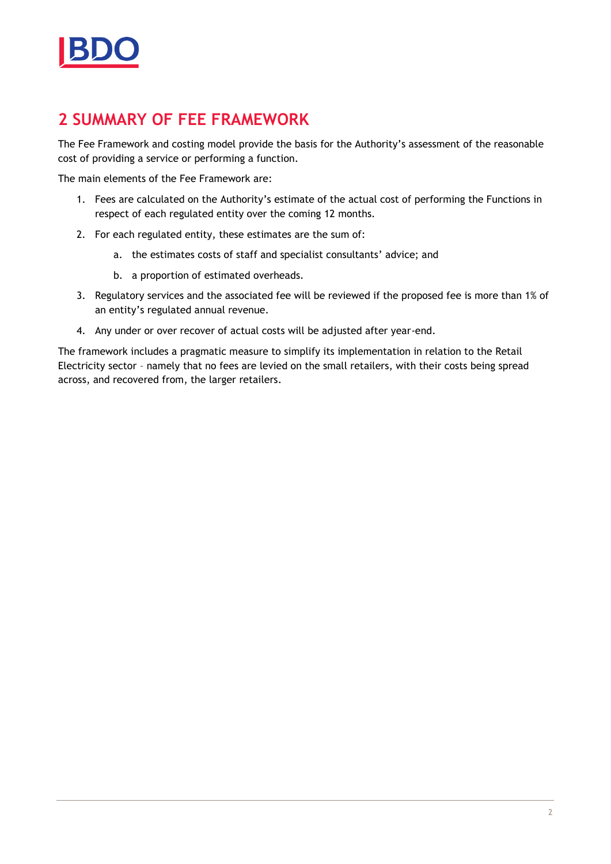

### <span id="page-3-0"></span>**2 SUMMARY OF FEE FRAMEWORK**

The Fee Framework and costing model provide the basis for the Authority's assessment of the reasonable cost of providing a service or performing a function.

The main elements of the Fee Framework are:

- 1. Fees are calculated on the Authority's estimate of the actual cost of performing the Functions in respect of each regulated entity over the coming 12 months.
- 2. For each regulated entity, these estimates are the sum of:
	- a. the estimates costs of staff and specialist consultants' advice; and
	- b. a proportion of estimated overheads.
- 3. Regulatory services and the associated fee will be reviewed if the proposed fee is more than 1% of an entity's regulated annual revenue.
- 4. Any under or over recover of actual costs will be adjusted after year-end.

The framework includes a pragmatic measure to simplify its implementation in relation to the Retail Electricity sector – namely that no fees are levied on the small retailers, with their costs being spread across, and recovered from, the larger retailers.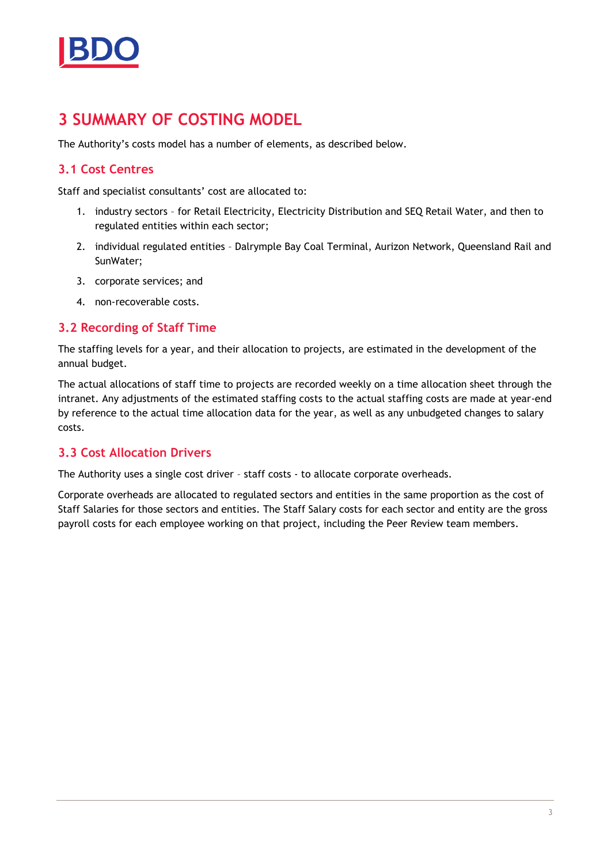

### <span id="page-4-0"></span>**3 SUMMARY OF COSTING MODEL**

The Authority's costs model has a number of elements, as described below.

#### <span id="page-4-1"></span>**3.1 Cost Centres**

Staff and specialist consultants' cost are allocated to:

- 1. industry sectors for Retail Electricity, Electricity Distribution and SEQ Retail Water, and then to regulated entities within each sector;
- 2. individual regulated entities Dalrymple Bay Coal Terminal, Aurizon Network, Queensland Rail and SunWater;
- 3. corporate services; and
- 4. non-recoverable costs.

#### <span id="page-4-2"></span>**3.2 Recording of Staff Time**

The staffing levels for a year, and their allocation to projects, are estimated in the development of the annual budget.

The actual allocations of staff time to projects are recorded weekly on a time allocation sheet through the intranet. Any adjustments of the estimated staffing costs to the actual staffing costs are made at year-end by reference to the actual time allocation data for the year, as well as any unbudgeted changes to salary costs.

#### <span id="page-4-3"></span>**3.3 Cost Allocation Drivers**

The Authority uses a single cost driver – staff costs - to allocate corporate overheads.

Corporate overheads are allocated to regulated sectors and entities in the same proportion as the cost of Staff Salaries for those sectors and entities. The Staff Salary costs for each sector and entity are the gross payroll costs for each employee working on that project, including the Peer Review team members.